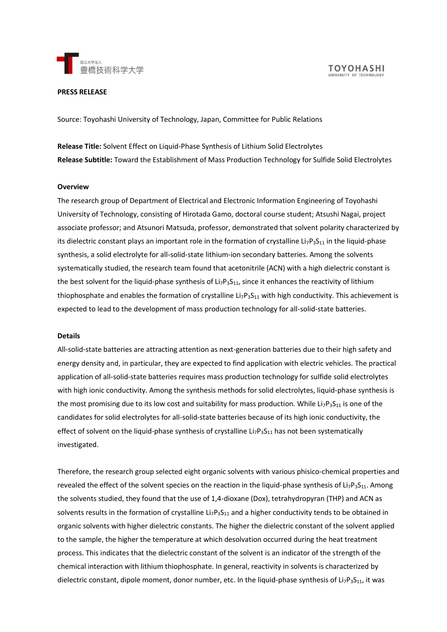

**TOYOHASHI** 

#### **PRESS RELEASE**

Source: Toyohashi University of Technology, Japan, Committee for Public Relations

**Release Title:** Solvent Effect on Liquid-Phase Synthesis of Lithium Solid Electrolytes **Release Subtitle:** Toward the Establishment of Mass Production Technology for Sulfide Solid Electrolytes

### **Overview**

The research group of Department of Electrical and Electronic Information Engineering of Toyohashi University of Technology, consisting of Hirotada Gamo, doctoral course student; Atsushi Nagai, project associate professor; and Atsunori Matsuda, professor, demonstrated that solvent polarity characterized by its dielectric constant plays an important role in the formation of crystalline Li<sub>7</sub>P<sub>3</sub>S<sub>11</sub> in the liquid-phase synthesis, a solid electrolyte for all-solid-state lithium-ion secondary batteries. Among the solvents systematically studied, the research team found that acetonitrile (ACN) with a high dielectric constant is the best solvent for the liquid-phase synthesis of  $Li_7P_3S_{11}$ , since it enhances the reactivity of lithium thiophosphate and enables the formation of crystalline  $Li_7P_3S_{11}$  with high conductivity. This achievement is expected to lead to the development of mass production technology for all-solid-state batteries.

### **Details**

All-solid-state batteries are attracting attention as next-generation batteries due to their high safety and energy density and, in particular, they are expected to find application with electric vehicles. The practical application of all-solid-state batteries requires mass production technology for sulfide solid electrolytes with high ionic conductivity. Among the synthesis methods for solid electrolytes, liquid-phase synthesis is the most promising due to its low cost and suitability for mass production. While Li<sub>7</sub>P<sub>3</sub>S<sub>11</sub> is one of the candidates for solid electrolytes for all-solid-state batteries because of its high ionic conductivity, the effect of solvent on the liquid-phase synthesis of crystalline  $Li_7P_3S_{11}$  has not been systematically investigated.

Therefore, the research group selected eight organic solvents with various phisico-chemical properties and revealed the effect of the solvent species on the reaction in the liquid-phase synthesis of Li<sub>7</sub>P<sub>3</sub>S<sub>11</sub>. Among the solvents studied, they found that the use of 1,4-dioxane (Dox), tetrahydropyran (THP) and ACN as solvents results in the formation of crystalline Li<sub>7</sub>P<sub>3</sub>S<sub>11</sub> and a higher conductivity tends to be obtained in organic solvents with higher dielectric constants. The higher the dielectric constant of the solvent applied to the sample, the higher the temperature at which desolvation occurred during the heat treatment process. This indicates that the dielectric constant of the solvent is an indicator of the strength of the chemical interaction with lithium thiophosphate. In general, reactivity in solvents is characterized by dielectric constant, dipole moment, donor number, etc. In the liquid-phase synthesis of  $\text{Li}_7\text{P}_3\text{S}_{11}$ , it was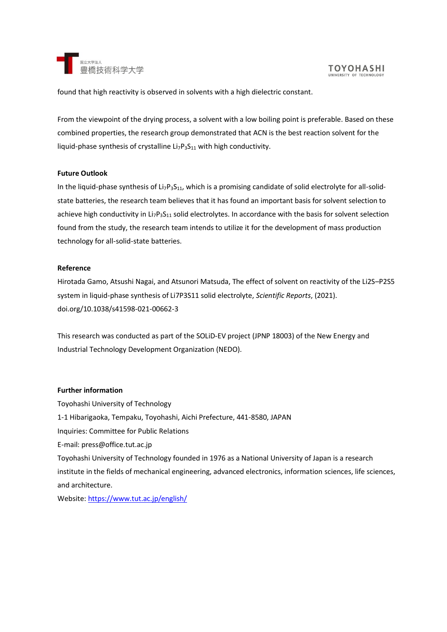

found that high reactivity is observed in solvents with a high dielectric constant.

From the viewpoint of the drying process, a solvent with a low boiling point is preferable. Based on these combined properties, the research group demonstrated that ACN is the best reaction solvent for the liquid-phase synthesis of crystalline  $Li_7P_3S_{11}$  with high conductivity.

## **Future Outlook**

In the liquid-phase synthesis of Li<sub>7</sub>P<sub>3</sub>S<sub>11</sub>, which is a promising candidate of solid electrolyte for all-solidstate batteries, the research team believes that it has found an important basis for solvent selection to achieve high conductivity in  $Li_7P_3S_{11}$  solid electrolytes. In accordance with the basis for solvent selection found from the study, the research team intends to utilize it for the development of mass production technology for all-solid-state batteries.

# **Reference**

Hirotada Gamo, Atsushi Nagai, and Atsunori Matsuda, The effect of solvent on reactivity of the Li2S–P2S5 system in liquid-phase synthesis of Li7P3S11 solid electrolyte, *Scientific Reports*, (2021). doi.org/10.1038/s41598-021-00662-3

This research was conducted as part of the SOLiD-EV project (JPNP 18003) of the New Energy and Industrial Technology Development Organization (NEDO).

# **Further information**

Toyohashi University of Technology 1-1 Hibarigaoka, Tempaku, Toyohashi, Aichi Prefecture, 441-8580, JAPAN Inquiries: Committee for Public Relations E-mail: press@office.tut.ac.jp Toyohashi University of Technology founded in 1976 as a National University of Japan is a research institute in the fields of mechanical engineering, advanced electronics, information sciences, life sciences, and architecture. Website:<https://www.tut.ac.jp/english/>